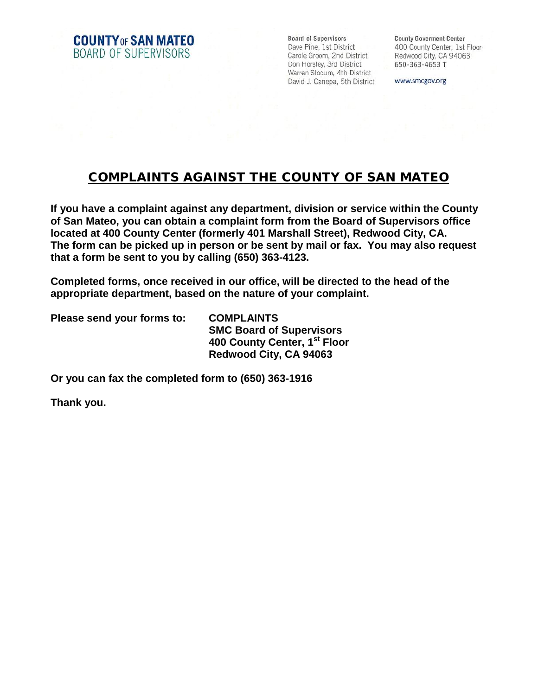**COUNTY OF SAN MATEO** BOARD OF SUPERVISORS

**Board of Supervisors** Dave Pine, 1st District Carole Groom, 2nd District Don Horsley, 3rd District Warren Slocum, 4th District David J. Canepa, 5th District

**County Goverment Center** 400 County Center, 1st Floor Redwood City, CA 94063 650-363-4653 T

www.smcgov.org

## COMPLAINTS AGAINST THE COUNTY OF SAN MATEO

**If you have a complaint against any department, division or service within the County of San Mateo, you can obtain a complaint form from the Board of Supervisors office located at 400 County Center (formerly 401 Marshall Street), Redwood City, CA. The form can be picked up in person or be sent by mail or fax. You may also request that a form be sent to you by calling (650) 363-4123.**

**Completed forms, once received in our office, will be directed to the head of the appropriate department, based on the nature of your complaint.**

**Please send your forms to: COMPLAINTS**

**SMC Board of Supervisors 400 County Center, 1st Floor Redwood City, CA 94063**

**Or you can fax the completed form to (650) 363-1916**

**Thank you.**